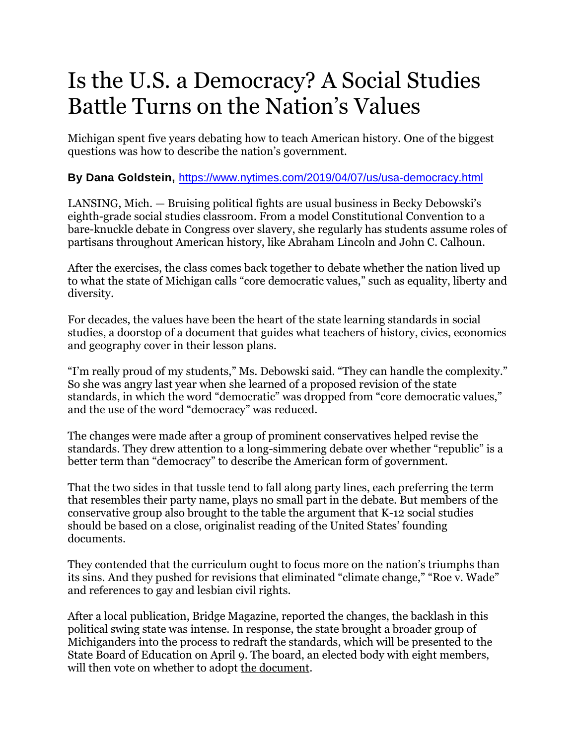## Is the U.S. a Democracy? A Social Studies Battle Turns on the Nation's Values

Michigan spent five years debating how to teach American history. One of the biggest questions was how to describe the nation's government.

## **By Dana [Goldstein,](https://www.nytimes.com/by/dana-goldstein)** <https://www.nytimes.com/2019/04/07/us/usa-democracy.html>

LANSING, Mich. — Bruising political fights are usual business in Becky Debowski's eighth-grade social studies classroom. From a model Constitutional Convention to a bare-knuckle debate in Congress over slavery, she regularly has students assume roles of partisans throughout American history, like Abraham Lincoln and John C. Calhoun.

After the exercises, the class comes back together to debate whether the nation lived up to what the state of Michigan calls "core democratic values," such as equality, liberty and diversity.

For decades, the values have been the heart of the state learning standards in social studies, a doorstop of a document that guides what teachers of history, civics, economics and geography cover in their lesson plans.

"I'm really proud of my students," Ms. Debowski said. "They can handle the complexity." So she was angry last year when she learned of a proposed revision of the state standards, in which the word "democratic" was dropped from "core democratic values," and the use of the word "democracy" was reduced.

The changes were made after a group of prominent conservatives helped revise the standards. They drew attention to a long-simmering debate over whether "republic" is a better term than "democracy" to describe the American form of government.

That the two sides in that tussle tend to fall along party lines, each preferring the term that resembles their party name, plays no small part in the debate. But members of the conservative group also brought to the table the argument that K-12 social studies should be based on a close, originalist reading of the United States' founding documents.

They contended that the curriculum ought to focus more on the nation's triumphs than its sins. And they pushed for revisions that eliminated "climate change," "Roe v. Wade" and references to gay and lesbian civil rights.

After a local publication, Bridge Magazine, reported the changes, the backlash in this political swing state was intense. In response, the state brought a broader group of Michiganders into the process to redraft the standards, which will be presented to the State Board of Education on April 9. The board, an elected body with eight members, will then vote on whether to adopt the [document.](https://www.michigan.gov/documents/mde/Draft_Social_Studies_Standards_201903_650081_7.pdf)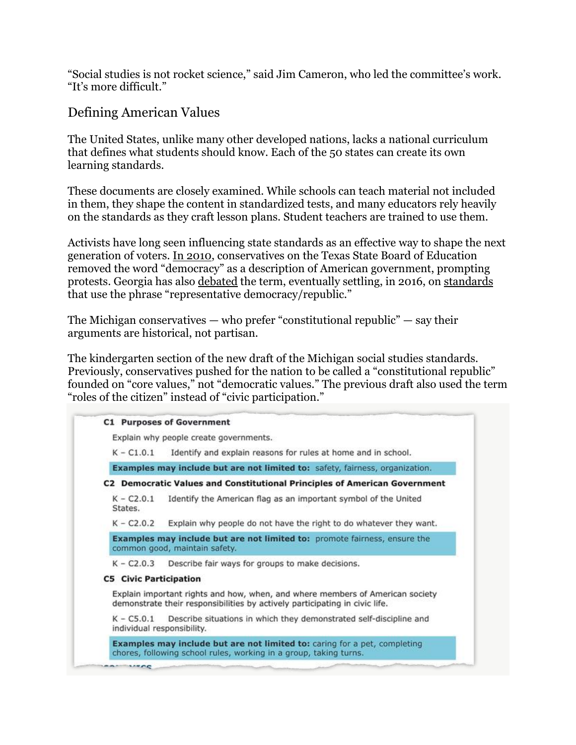"Social studies is not rocket science," said Jim Cameron, who led the committee's work. "It's more difficult."

## Defining American Values

The United States, unlike many other developed nations, lacks a national curriculum that defines what students should know. Each of the 50 states can create its own learning standards.

These documents are closely examined. While schools can teach material not included in them, they shape the content in standardized tests, and many educators rely heavily on the standards as they craft lesson plans. Student teachers are trained to use them.

Activists have long seen influencing state standards as an effective way to shape the next generation of voters. In [2010,](http://www.washingtonpost.com/wp-dyn/content/article/2010/05/21/AR2010052104365.html) conservatives on the Texas State Board of Education removed the word "democracy" as a description of American government, prompting protests. Georgia has also [debated](https://www.ajc.com/news/local-education/social-studies-school-standards-provoke-debate-among-educators/VuWBl7grFgEmJddtkZJVeO/) the term, eventually settling, in 2016, on [standards](https://www.georgiastandards.org/Georgia-Standards/Documents/Social-Studies-K-12-Georgia-Standards.pdf) that use the phrase "representative democracy/republic."

The Michigan conservatives — who prefer "constitutional republic" — sav their arguments are historical, not partisan.

The kindergarten section of the new draft of the Michigan social studies standards. Previously, conservatives pushed for the nation to be called a "constitutional republic" founded on "core values," not "democratic values." The previous draft also used the term "roles of the citizen" instead of "civic participation."

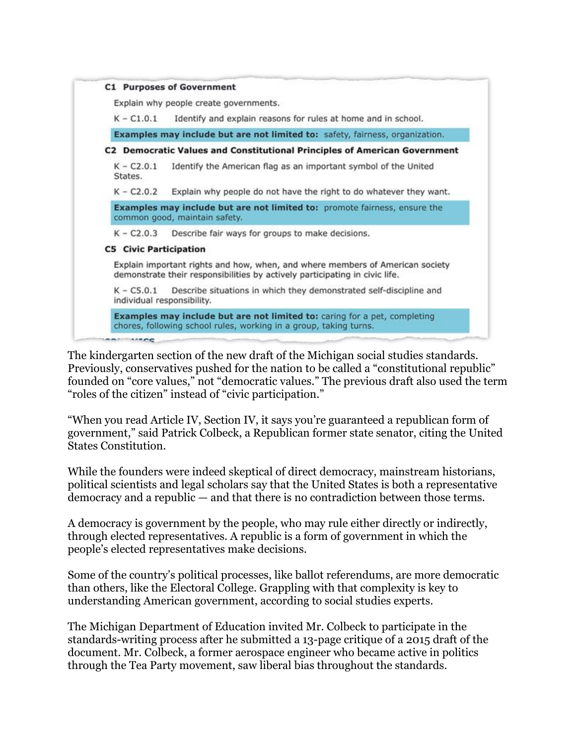

The kindergarten section of the new draft of the Michigan social studies standards. Previously, conservatives pushed for the nation to be called a "constitutional republic" founded on "core values," not "democratic values." The previous draft also used the term "roles of the citizen" instead of "civic participation."

"When you read Article IV, Section IV, it says you're guaranteed a republican form of government," said Patrick Colbeck, a Republican former state senator, citing the United States Constitution.

While the founders were indeed skeptical of direct democracy, mainstream historians, political scientists and legal scholars say that the United States is both a representative democracy and a republic — and that there is no contradiction between those terms.

A democracy is government by the people, who may rule either directly or indirectly, through elected representatives. A republic is a form of government in which the people's elected representatives make decisions.

Some of the country's political processes, like ballot referendums, are more democratic than others, like the Electoral College. Grappling with that complexity is key to understanding American government, according to social studies experts.

The Michigan Department of Education invited Mr. Colbeck to participate in the standards-writing process after he submitted a 13-page critique of a 2015 draft of the document. Mr. Colbeck, a former aerospace engineer who became active in politics through the Tea Party movement, saw liberal bias throughout the standards.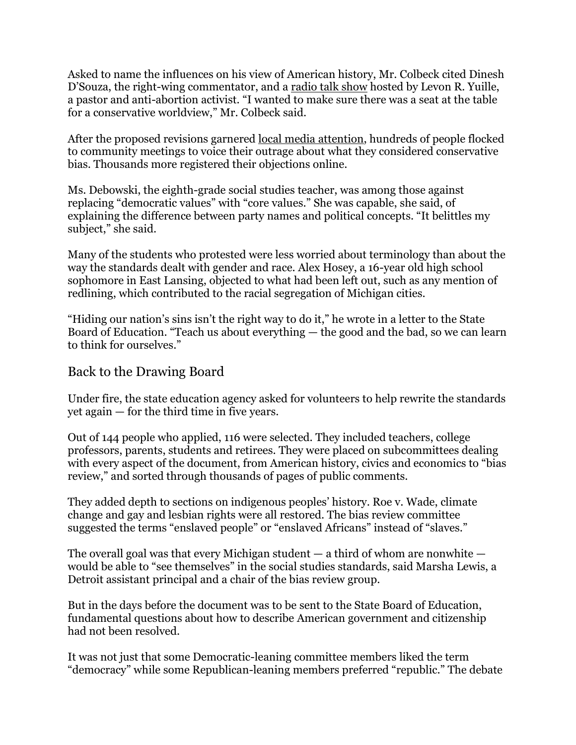Asked to name the influences on his view of American history, Mr. Colbeck cited Dinesh D'Souza, the right-wing commentator, and a [radio](http://www.joshuastrail.org/) talk show hosted by Levon R. Yuille, a pastor and anti-abortion activist. "I wanted to make sure there was a seat at the table for a conservative worldview," Mr. Colbeck said.

After the proposed revisions garnered local media [attention,](https://www.bridgemi.com/talent-education/history-gets-conservative-twist-michigan-social-studies-standards) hundreds of people flocked to community meetings to voice their outrage about what they considered conservative bias. Thousands more registered their objections online.

Ms. Debowski, the eighth-grade social studies teacher, was among those against replacing "democratic values" with "core values." She was capable, she said, of explaining the difference between party names and political concepts. "It belittles my subject," she said.

Many of the students who protested were less worried about terminology than about the way the standards dealt with gender and race. Alex Hosey, a 16-year old high school sophomore in East Lansing, objected to what had been left out, such as any mention of redlining, which contributed to the racial segregation of Michigan cities.

"Hiding our nation's sins isn't the right way to do it," he wrote in a letter to the State Board of Education. "Teach us about everything — the good and the bad, so we can learn to think for ourselves."

## Back to the Drawing Board

Under fire, the state education agency asked for volunteers to help rewrite the standards yet again — for the third time in five years.

Out of 144 people who applied, 116 were selected. They included teachers, college professors, parents, students and retirees. They were placed on subcommittees dealing with every aspect of the document, from American history, civics and economics to "bias review," and sorted through thousands of pages of public comments.

They added depth to sections on indigenous peoples' history. Roe v. Wade, climate change and gay and lesbian rights were all restored. The bias review committee suggested the terms "enslaved people" or "enslaved Africans" instead of "slaves."

The overall goal was that every Michigan student  $-$  a third of whom are nonwhite  $$ would be able to "see themselves" in the social studies standards, said Marsha Lewis, a Detroit assistant principal and a chair of the bias review group.

But in the days before the document was to be sent to the State Board of Education, fundamental questions about how to describe American government and citizenship had not been resolved.

It was not just that some Democratic-leaning committee members liked the term "democracy" while some Republican-leaning members preferred "republic." The debate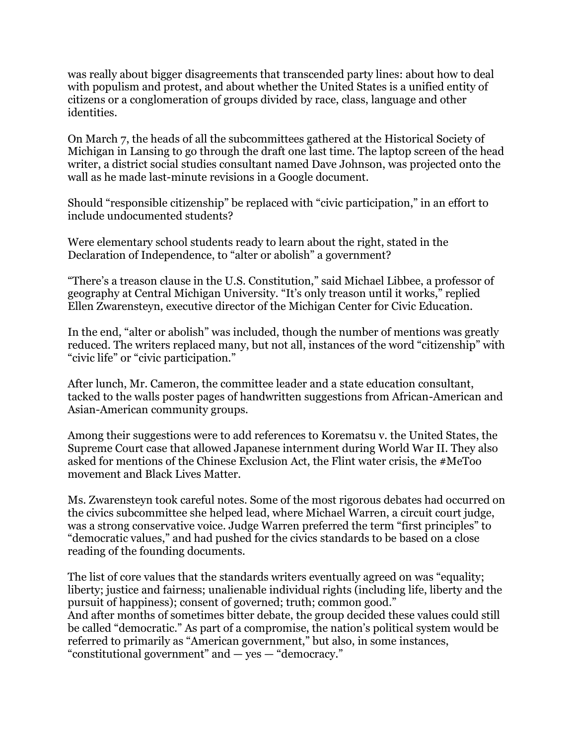was really about bigger disagreements that transcended party lines: about how to deal with populism and protest, and about whether the United States is a unified entity of citizens or a conglomeration of groups divided by race, class, language and other identities.

On March 7, the heads of all the subcommittees gathered at the Historical Society of Michigan in Lansing to go through the draft one last time. The laptop screen of the head writer, a district social studies consultant named Dave Johnson, was projected onto the wall as he made last-minute revisions in a Google document.

Should "responsible citizenship" be replaced with "civic participation," in an effort to include undocumented students?

Were elementary school students ready to learn about the right, stated in the Declaration of Independence, to "alter or abolish" a government?

"There's a treason clause in the U.S. Constitution," said Michael Libbee, a professor of geography at Central Michigan University. "It's only treason until it works," replied Ellen Zwarensteyn, executive director of the Michigan Center for Civic Education.

In the end, "alter or abolish" was included, though the number of mentions was greatly reduced. The writers replaced many, but not all, instances of the word "citizenship" with "civic life" or "civic participation."

After lunch, Mr. Cameron, the committee leader and a state education consultant, tacked to the walls poster pages of handwritten suggestions from African-American and Asian-American community groups.

Among their suggestions were to add references to Korematsu v. the United States, the Supreme Court case that allowed Japanese internment during World War II. They also asked for mentions of the Chinese Exclusion Act, the Flint water crisis, the #MeToo movement and Black Lives Matter.

Ms. Zwarensteyn took careful notes. Some of the most rigorous debates had occurred on the civics subcommittee she helped lead, where Michael Warren, a circuit court judge, was a strong conservative voice. Judge Warren preferred the term "first principles" to "democratic values," and had pushed for the civics standards to be based on a close reading of the founding documents.

The list of core values that the standards writers eventually agreed on was "equality; liberty; justice and fairness; unalienable individual rights (including life, liberty and the pursuit of happiness); consent of governed; truth; common good." And after months of sometimes bitter debate, the group decided these values could still be called "democratic." As part of a compromise, the nation's political system would be referred to primarily as "American government," but also, in some instances, "constitutional government" and — yes — "democracy."